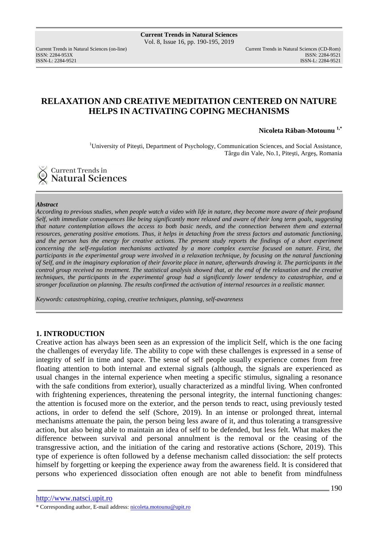ISSN: 2284-953XISSN: 2284-9521

Current Trends in Natural Sciences (on-line) Current Trends in Natural Sciences (CD-Rom) ISSN-L: 2284-9521

## **RELAXATION AND CREATIVE MEDITATION CENTERED ON NATURE HELPS IN ACTIVATING COPING MECHANISMS**

**Nicoleta Răban-Motounu 1,\***

<sup>1</sup>University of Pitești, Department of Psychology, Communication Sciences, and Social Assistance, Târgu din Vale, No.1, Piteşti, Argeş, Romania

Current Trends in Natural Sciences

#### *Abstract*

*According to previous studies, when people watch a video with life in nature, they become more aware of their profound Self, with immediate consequences like being significantly more relaxed and aware of their long term goals, suggesting that nature contemplation allows the access to both basic needs, and the connection between them and external resources, generating positive emotions. Thus, it helps in detaching from the stress factors and automatic functioning,*  and the person has the energy for creative actions. The present study reports the findings of a short experiment *concerning the self-regulation mechanisms activated by a more complex exercise focused on nature. First, the participants in the experimental group were involved in a relaxation technique, by focusing on the natural functioning of Self, and in the imaginary exploration of their favorite place in nature, afterwards drawing it. The participants in the control group received no treatment. The statistical analysis showed that, at the end of the relaxation and the creative techniques, the participants in the experimental group had a significantly lower tendency to catastrophize, and a stronger focalization on planning. The results confirmed the activation of internal resources in a realistic manner.* 

*Keywords: catastrophizing, coping, creative techniques, planning, self-awareness* 

#### **1. INTRODUCTION**

Creative action has always been seen as an expression of the implicit Self, which is the one facing the challenges of everyday life. The ability to cope with these challenges is expressed in a sense of integrity of self in time and space. The sense of self people usually experience comes from free floating attention to both internal and external signals (although, the signals are experienced as usual changes in the internal experience when meeting a specific stimulus, signaling a resonance with the safe conditions from exterior), usually characterized as a mindful living. When confronted with frightening experiences, threatening the personal integrity, the internal functioning changes: the attention is focused more on the exterior, and the person tends to react, using previously tested actions, in order to defend the self (Schore, 2019). In an intense or prolonged threat, internal mechanisms attenuate the pain, the person being less aware of it, and thus tolerating a transgressive action, but also being able to maintain an idea of self to be defended, but less felt. What makes the difference between survival and personal annulment is the removal or the ceasing of the transgressive action, and the initiation of the caring and restorative actions (Schore, 2019). This type of experience is often followed by a defense mechanism called dissociation: the self protects himself by forgetting or keeping the experience away from the awareness field. It is considered that persons who experienced dissociation often enough are not able to benefit from mindfulness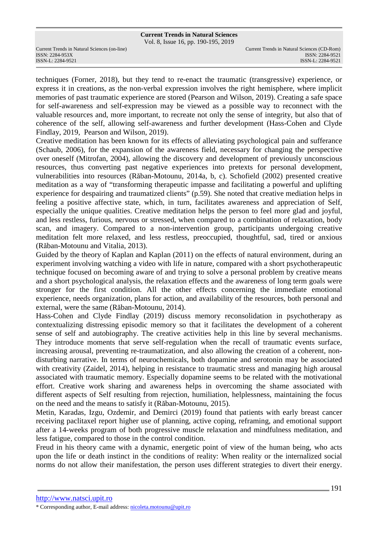# **Current Trends in Natural Sciences**

Vol. 8, Issue 16, pp. 190-195, 2019

ISSN: 2284-953XISSN: 2284-9521

techniques (Forner, 2018), but they tend to re-enact the traumatic (transgressive) experience, or express it in creations, as the non-verbal expression involves the right hemisphere, where implicit memories of past traumatic experience are stored (Pearson and Wilson, 2019). Creating a safe space for self-awareness and self-expression may be viewed as a possible way to reconnect with the valuable resources and, more important, to recreate not only the sense of integrity, but also that of coherence of the self, allowing self-awareness and further development (Hass-Cohen and Clyde Findlay, 2019, Pearson and Wilson, 2019).

Creative meditation has been known for its effects of alleviating psychological pain and sufferance (Schaub, 2006), for the expansion of the awareness field, necessary for changing the perspective over oneself (Mitrofan, 2004), allowing the discovery and development of previously unconscious resources, thus converting past negative experiences into pretexts for personal development, vulnerabilities into resources (Răban-Motounu, 2014a, b, c). Schofield (2002) presented creative meditation as a way of "transforming therapeutic impasse and facilitating a powerful and uplifting experience for despairing and traumatized clients" (p.59). She noted that creative mediation helps in feeling a positive affective state, which, in turn, facilitates awareness and appreciation of Self, especially the unique qualities. Creative meditation helps the person to feel more glad and joyful, and less restless, furious, nervous or stressed, when compared to a combination of relaxation, body scan, and imagery. Compared to a non-intervention group, participants undergoing creative meditation felt more relaxed, and less restless, preoccupied, thoughtful, sad, tired or anxious (Răban-Motounu and Vitalia, 2013).

Guided by the theory of Kaplan and Kaplan (2011) on the effects of natural environment, during an experiment involving watching a video with life in nature, compared with a short psychotherapeutic technique focused on becoming aware of and trying to solve a personal problem by creative means and a short psychological analysis, the relaxation effects and the awareness of long term goals were stronger for the first condition. All the other effects concerning the immediate emotional experience, needs organization, plans for action, and availability of the resources, both personal and external, were the same (Răban-Motounu, 2014).

Hass-Cohen and Clyde Findlay (2019) discuss memory reconsolidation in psychotherapy as contextualizing distressing episodic memory so that it facilitates the development of a coherent sense of self and autobiography. The creative activities help in this line by several mechanisms. They introduce moments that serve self-regulation when the recall of traumatic events surface, increasing arousal, preventing re-traumatization, and also allowing the creation of a coherent, nondisturbing narrative. In terms of neurochemicals, both dopamine and serotonin may be associated with creativity (Zaidel, 2014), helping in resistance to traumatic stress and managing high arousal associated with traumatic memory. Especially dopamine seems to be related with the motivational effort. Creative work sharing and awareness helps in overcoming the shame associated with different aspects of Self resulting from rejection, humiliation, helplessness, maintaining the focus on the need and the means to satisfy it (Răban-Motounu, 2015).

Metin, Karadas, Izgu, Ozdemir, and Demirci (2019) found that patients with early breast cancer receiving paclitaxel report higher use of planning, active coping, reframing, and emotional support after a 14-weeks program of both progressive muscle relaxation and mindfulness meditation, and less fatigue, compared to those in the control condition.

Freud in his theory came with a dynamic, energetic point of view of the human being, who acts upon the life or death instinct in the conditions of reality: When reality or the internalized social norms do not allow their manifestation, the person uses different strategies to divert their energy.

<sup>\*</sup> Corresponding author, E-mail address: nicoleta.motounu@upit.ro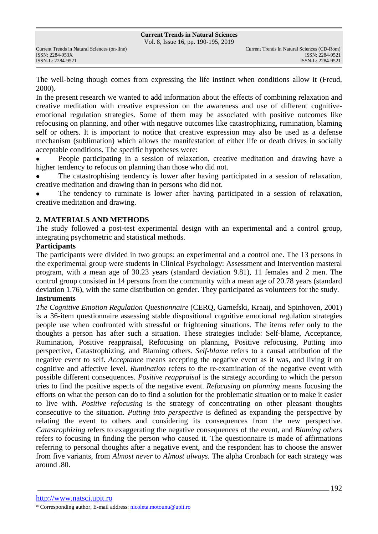The well-being though comes from expressing the life instinct when conditions allow it (Freud, 2000).

In the present research we wanted to add information about the effects of combining relaxation and creative meditation with creative expression on the awareness and use of different cognitiveemotional regulation strategies. Some of them may be associated with positive outcomes like refocusing on planning, and other with negative outcomes like catastrophizing, rumination, blaming self or others. It is important to notice that creative expression may also be used as a defense mechanism (sublimation) which allows the manifestation of either life or death drives in socially acceptable conditions. The specific hypotheses were:

 People participating in a session of relaxation, creative meditation and drawing have a higher tendency to refocus on planning than those who did not.

 The catastrophising tendency is lower after having participated in a session of relaxation, creative meditation and drawing than in persons who did not.

 The tendency to ruminate is lower after having participated in a session of relaxation, creative meditation and drawing.

### **2. MATERIALS AND METHODS**

The study followed a post-test experimental design with an experimental and a control group, integrating psychometric and statistical methods.

#### **Participants**

The participants were divided in two groups: an experimental and a control one. The 13 persons in the experimental group were students in Clinical Psychology: Assessment and Intervention masteral program, with a mean age of 30.23 years (standard deviation 9.81), 11 females and 2 men. The control group consisted in 14 persons from the community with a mean age of 20.78 years (standard deviation 1.76), with the same distribution on gender. They participated as volunteers for the study.

## **Instruments**

*The Cognitive Emotion Regulation Questionnaire* (CERQ, Garnefski, Kraaij, and Spinhoven, 2001) is a 36-item questionnaire assessing stable dispositional cognitive emotional regulation strategies people use when confronted with stressful or frightening situations. The items refer only to the thoughts a person has after such a situation. These strategies include: Self-blame, Acceptance, Rumination, Positive reappraisal, Refocusing on planning, Positive refocusing, Putting into perspective, Catastrophizing, and Blaming others. *Self-blame* refers to a causal attribution of the negative event to self. *Acceptance* means accepting the negative event as it was, and living it on cognitive and affective level. *Rumination* refers to the re-examination of the negative event with possible different consequences. *Positive reappraisal* is the strategy according to which the person tries to find the positive aspects of the negative event. *Refocusing on planning* means focusing the efforts on what the person can do to find a solution for the problematic situation or to make it easier to live with. *Positive refocusing* is the strategy of concentrating on other pleasant thoughts consecutive to the situation. *Putting into perspective* is defined as expanding the perspective by relating the event to others and considering its consequences from the new perspective. *Catastrophizing* refers to exaggerating the negative consequences of the event, and *Blaming others* refers to focusing in finding the person who caused it. The questionnaire is made of affirmations referring to personal thoughts after a negative event, and the respondent has to choose the answer from five variants, from *Almost never* to *Almost always.* The alpha Cronbach for each strategy was around .80.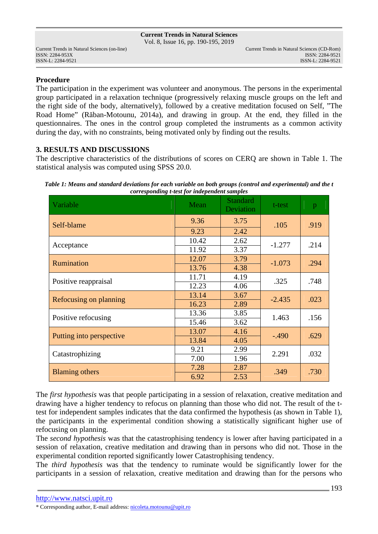### **Procedure**

The participation in the experiment was volunteer and anonymous. The persons in the experimental group participated in a relaxation technique (progressively relaxing muscle groups on the left and the right side of the body, alternatively), followed by a creative meditation focused on Self, "The Road Home" (Răban-Motounu, 2014a), and drawing in group. At the end, they filled in the questionnaires. The ones in the control group completed the instruments as a common activity during the day, with no constraints, being motivated only by finding out the results.

### **3. RESULTS AND DISCUSSIONS**

The descriptive characteristics of the distributions of scores on CERQ are shown in Table 1. The statistical analysis was computed using SPSS 20.0.

| Table 1: Means and standard deviations for each variable on both groups (control and experimental) and the t |  |  |  |  |  |  |  |  |  |
|--------------------------------------------------------------------------------------------------------------|--|--|--|--|--|--|--|--|--|
| corresponding t-test for independent samples                                                                 |  |  |  |  |  |  |  |  |  |

| Variable                 | Mean  | <b>Standard</b><br>Deviation | t-test   | p    |
|--------------------------|-------|------------------------------|----------|------|
| Self-blame               | 9.36  | 3.75                         | .105     | .919 |
|                          | 9.23  | 2.42                         |          |      |
| Acceptance               | 10.42 | 2.62                         | $-1.277$ | .214 |
|                          | 11.92 | 3.37                         |          |      |
| Rumination               | 12.07 | 3.79                         | $-1.073$ | .294 |
|                          | 13.76 | 4.38                         |          |      |
| Positive reappraisal     | 11.71 | 4.19                         | .325     | .748 |
|                          | 12.23 | 4.06                         |          |      |
| Refocusing on planning   | 13.14 | 3.67                         | $-2.435$ | .023 |
|                          | 16.23 | 2.89                         |          |      |
| Positive refocusing      | 13.36 | 3.85                         | 1.463    | .156 |
|                          | 15.46 | 3.62                         |          |      |
| Putting into perspective | 13.07 | 4.16                         | $-.490$  | .629 |
|                          | 13.84 | 4.05                         |          |      |
| Catastrophizing          | 9.21  | 2.99                         | 2.291    | .032 |
|                          | 7.00  | 1.96                         |          |      |
| <b>Blaming others</b>    | 7.28  | 2.87                         | .349     | .730 |
|                          | 6.92  | 2.53                         |          |      |

The *first hypothesis* was that people participating in a session of relaxation, creative meditation and drawing have a higher tendency to refocus on planning than those who did not. The result of the ttest for independent samples indicates that the data confirmed the hypothesis (as shown in Table 1), the participants in the experimental condition showing a statistically significant higher use of refocusing on planning.

The *second hypothesis* was that the catastrophising tendency is lower after having participated in a session of relaxation, creative meditation and drawing than in persons who did not. Those in the experimental condition reported significantly lower Catastrophising tendency.

The *third hypothesis* was that the tendency to ruminate would be significantly lower for the participants in a session of relaxation, creative meditation and drawing than for the persons who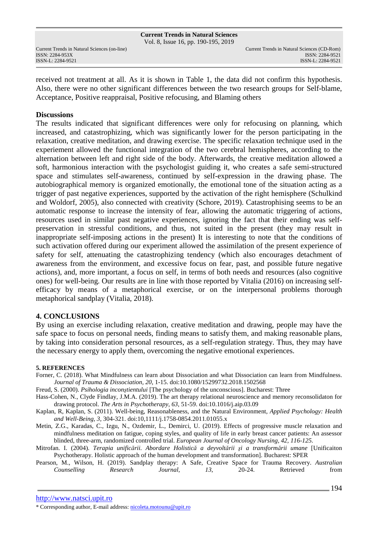**Current Trends in Natural Sciences** Vol. 8, Issue 16, pp. 190-195, 2019

ISSN: 2284-953XISSN: 2284-9521

received not treatment at all. As it is shown in Table 1, the data did not confirm this hypothesis. Also, there were no other significant differences between the two research groups for Self-blame, Acceptance, Positive reappraisal, Positive refocusing, and Blaming others

#### **Discussions**

The results indicated that significant differences were only for refocusing on planning, which increased, and catastrophizing, which was significantly lower for the person participating in the relaxation, creative meditation, and drawing exercise. The specific relaxation technique used in the experiement allowed the functional integration of the two cerebral hemispheres, according to the alternation between left and right side of the body. Afterwards, the creative meditation allowed a soft, harmonious interaction with the psychologist guiding it, who creates a safe semi-structured space and stimulates self-awareness, continued by self-expression in the drawing phase. The autobiographical memory is organized emotionally, the emotional tone of the situation acting as a trigger of past negative experiences, supported by the activation of the right hemisphere (Schulkind and Woldorf, 2005), also connected with creativity (Schore, 2019). Catastrophising seems to be an automatic response to increase the intensity of fear, allowing the automatic triggering of actions, resources used in similar past negative experiences, ignoring the fact that their ending was selfpreservation in stressful conditions, and thus, not suited in the present (they may result in inappropriate self-imposing actions in the present) It is interesting to note that the conditions of such activation offered during our experiment allowed the assimilation of the present experience of safety for self, attenuating the catastrophizing tendency (which also encourages detachment of awareness from the environment, and excessive focus on fear, past, and possible future negative actions), and, more important, a focus on self, in terms of both needs and resources (also cognitive ones) for well-being. Our results are in line with those reported by Vitalia (2016) on increasing selfefficacy by means of a metaphorical exercise, or on the interpersonal problems thorough metaphorical sandplay (Vitalia, 2018).

### **4. CONCLUSIONS**

By using an exercise including relaxation, creative meditation and drawing, people may have the safe space to focus on personal needs, finding means to satisfy them, and making reasonable plans, by taking into consideration personal resources, as a self-regulation strategy. Thus, they may have the necessary energy to apply them, overcoming the negative emotional experiences.

#### **5. REFERENCES**

- Forner, C. (2018). What Mindfulness can learn about Dissociation and what Dissociation can learn from Mindfulness. *Journal of Trauma & Dissociation, 20*, 1-15. doi:10.1080/15299732.2018.1502568
- Freud, S. (2000). *Psihologia inconştientului* [The psychology of the unconscious]. Bucharest: Three

Hass-Cohen, N., Clyde Findlay, J.M.A. (2019). The art therapy relational neuroscience and memory reconsolidaton for drawing protocol. *The Arts in Psychotherapy, 63,* 51-59. doi:10.1016/j.aip.03.09

Kaplan, R, Kaplan, S. (2011). Well-being, Reasonableness, and the Natural Environment, *Applied Psychology: Health and Well-Being, 3,* 304-321. doi:10,1111/j.1758-0854.2011.01055.x

Metin, Z.G., Karadas, C., Izgu, N., Ozdemir, L., Demirci, U. (2019). Effects of progressive muscle relaxation and mindfulness meditation on fatigue, coping styles, and quality of life in early breast cancer patients: An assessor blinded, three-arm, randomized controlled trial. *European Journal of Oncology Nursing, 42, 116-125.*

Mitrofan. I. (2004). *Terapia unificării. Abordare Holistică a deyvoltării şi a transformării umane* [Unificaiton Psychotherapy. Holistic approach of the human development and transformation]. Bucharest: SPER

| Pearson, M., Wilson, H. (2019). Sandplay therapy: A Safe, Creative Space for Trauma Recovery. Australian |             |          |          |  |          |  |           |      |
|----------------------------------------------------------------------------------------------------------|-------------|----------|----------|--|----------|--|-----------|------|
|                                                                                                          | Counselling | Research | Journal. |  | $20-24.$ |  | Retrieved | from |

<sup>\*</sup> Corresponding author, E-mail address: nicoleta.motounu@upit.ro